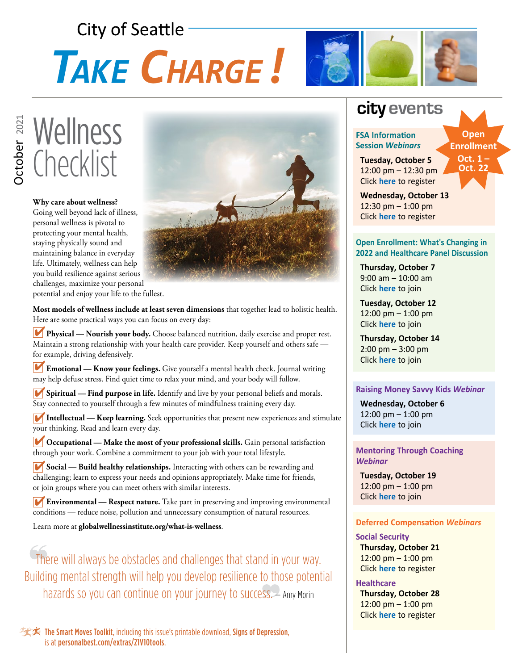# **City of Seattle TAKE CHARGE!**



## **Wellness Checklist**

**Why care about wellness?**  Going well beyond lack of illness, personal wellness is pivotal to protecting your mental health, staying physically sound and maintaining balance in everyday life. Ultimately, wellness can help you build resilience against serious challenges, maximize your personal potential and enjoy your life to the fullest.



**Most models of wellness include at least seven dimensions** that together lead to holistic health. Here are some practical ways you can focus on every day:

**Physical — Nourish your body.** Choose balanced nutrition, daily exercise and proper rest. 4 Maintain a strong relationship with your health care provider. Keep yourself and others safe for example, driving defensively.

**Emotional — Know your feelings.** Give yourself a mental health check. Journal writing 4 may help defuse stress. Find quiet time to relax your mind, and your body will follow.

**Spiritual — Find purpose in life.** Identify and live by your personal beliefs and morals. 4 Stay connected to yourself through a few minutes of mindfulness training every day.

**Intellectual — Keep learning.** Seek opportunities that present new experiences and stimulate 4 your thinking. Read and learn every day.

**Occupational — Make the most of your professional skills.** Gain personal satisfaction 4 through your work. Combine a commitment to your job with your total lifestyle.

**Social — Build healthy relationships.** Interacting with others can be rewarding and 4 challenging; learn to express your needs and opinions appropriately. Make time for friends, or join groups where you can meet others with similar interests.

**Environmental — Respect nature.** Take part in preserving and improving environmental conditions — reduce noise, pollution and unnecessary consumption of natural resources.

Learn more at **[globalwellnessinstitute.org/what-is-wellness](http://www.globalwellnessinstitute.org/what-is-wellness)**.

There will always be obstacles and challenges that stand in your way. Building mental strength will help you develop resilience to those potential hazards so you can continue on your journey to success.  $\rightarrow$  Amy Morin

### 实本 The Smart Moves Toolkit, including this issue's printable download, Signs of Depression, is at [personalbest.com/extras/21V10tools](http://www.personalbest.com/extras/21V10tools).

### **city events**

#### **FSA Information Session** *Webinars*

 **Tuesday, October 5** 12:00 pm – 12:30 pm Click **[here](https://attendee.gotowebinar.com/register/6909553586296289807)** to register

**Open Enrollment Oct. 1 –** 

**Oct. 22**

 **Wednesday, October 13** 12:30 pm – 1:00 pm Click **[here](https://attendee.gotowebinar.com/register/3924764345954262031)** to register

#### **Open Enrollment: What's Changing in 2022 and Healthcare Panel Discussion**

 **Thursday, October 7** 9:00 am – 10:00 am Click **[here](https://seattle.webex.com/seattle/j.php?MTID=meb15f8c6b3f98a13fde24f0c5e5d8ba8)** to join

 **Tuesday, October 12** 12:00 pm – 1:00 pm Click **[here](https://seattle.webex.com/seattle/j.php?MTID=ma6c1b79b58dc2426574ff71a7a78f445)** to join

 **Thursday, October 14** 2:00 pm – 3:00 pm Click **[here](https://seattle.webex.com/seattle/j.php?MTID=m32d6cf43b2737cfdd9d5e0f4a80c5754)** to join

### **Raising Money Savvy Kids** *Webinar*

 **Wednesday, October 6** 12:00 pm – 1:00 pm Click **[here](https://register.gotowebinar.com/register/5568049345796512525)** to join

**Mentoring Through Coaching**  *Webinar*

 **Tuesday, October 19** 12:00 pm – 1:00 pm Click **[here](https://mylifevalues.webex.com/mylifevalues/k2/j.php?MTID=t27323f1568f902d18d810622b63ae6a6)** to join

#### **Deferred Compensation** *Webinars*

### **Social Security**

 **Thursday, October 21** 12:00 pm – 1:00 pm Click **[here](https://attendee.gotowebinar.com/register/5048572982778951439)** to register

**Healthcare Thursday, October 28** 12:00 pm – 1:00 pm Click **[here](https://attendee.gotowebinar.com/register/1912615187268850959)** to register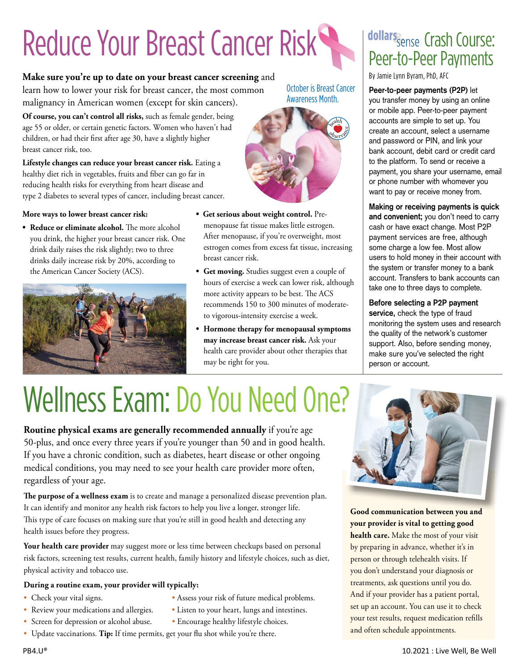# Reduce Your Breast Cancer Risk

### **Make sure you're up to date on your breast cancer screening** and

learn how to lower your risk for breast cancer, the most common malignancy in American women (except for skin cancers).

**Of course, you can't control all risks,** such as female gender, being age 55 or older, or certain genetic factors. Women who haven't had children, or had their first after age 30, have a slightly higher breast cancer risk, too.

**Lifestyle changes can reduce your breast cancer risk.** Eating a healthy diet rich in vegetables, fruits and fiber can go far in reducing health risks for everything from heart disease and type 2 diabetes to several types of cancer, including breast cancer.

### **More ways to lower breast cancer risk:**

**• Reduce or eliminate alcohol.** The more alcohol you drink, the higher your breast cancer risk. One drink daily raises the risk slightly; two to three drinks daily increase risk by 20%, according to the American Cancer Society (ACS).



**• Get serious about weight control.** Premenopause fat tissue makes little estrogen. After menopause, if you're overweight, most estrogen comes from excess fat tissue, increasing breast cancer risk.

October is Breast Cancer Awareness Month.

> <sup>h</sup>ealt<sup>h</sup> Observace

- **• Get moving.** Studies suggest even a couple of hours of exercise a week can lower risk, although more activity appears to be best. The ACS recommends 150 to 300 minutes of moderateto vigorous-intensity exercise a week.
- **• Hormone therapy for menopausal symptoms may increase breast cancer risk.** Ask your health care provider about other therapies that may be right for you.

## dollars Sense Crash Course: Peer-to-Peer Payments

By Jamie Lynn Byram, PhD, AFC

### **Peer-to-peer payments (P2P)** let

you transfer money by using an online or mobile app. Peer-to-peer payment accounts are simple to set up. You create an account, select a username and password or PIN, and link your bank account, debit card or credit card to the platform. To send or receive a payment, you share your username, email or phone number with whomever you want to pay or receive money from.

**Making or receiving payments is quick and convenient;** you don't need to carry cash or have exact change. Most P2P payment services are free, although some charge a low fee. Most allow users to hold money in their account with the system or transfer money to a bank account. Transfers to bank accounts can take one to three days to complete.

#### **Before selecting a P2P payment service,** check the type of fraud

monitoring the system uses and research the quality of the network's customer support. Also, before sending money, make sure you've selected the right person or account.

## Wellness Exam: Do You Need One?

**Routine physical exams are generally recommended annually** if you're age 50-plus, and once every three years if you're younger than 50 and in good health. If you have a chronic condition, such as diabetes, heart disease or other ongoing medical conditions, you may need to see your health care provider more often, regardless of your age.

**The purpose of a wellness exam** is to create and manage a personalized disease prevention plan. It can identify and monitor any health risk factors to help you live a longer, stronger life. This type of care focuses on making sure that you're still in good health and detecting any health issues before they progress.

Your health care provider may suggest more or less time between checkups based on personal risk factors, screening test results, current health, family history and lifestyle choices, such as diet, physical activity and tobacco use.

### **During a routine exam, your provider will typically:**

- Check your vital signs. Assess your risk of future medical problems.
- Review your medications and allergies. Listen to your heart, lungs and intestines.
- -
- Screen for depression or alcohol abuse. Encourage healthy lifestyle choices.
- Update vaccinations. **Tip:** If time permits, get your flu shot while you're there.



**Good communication between you and your provider is vital to getting good health care.** Make the most of your visit by preparing in advance, whether it's in person or through telehealth visits. If you don't understand your diagnosis or treatments, ask questions until you do. And if your provider has a patient portal, set up an account. You can use it to check your test results, request medication refills and often schedule appointments.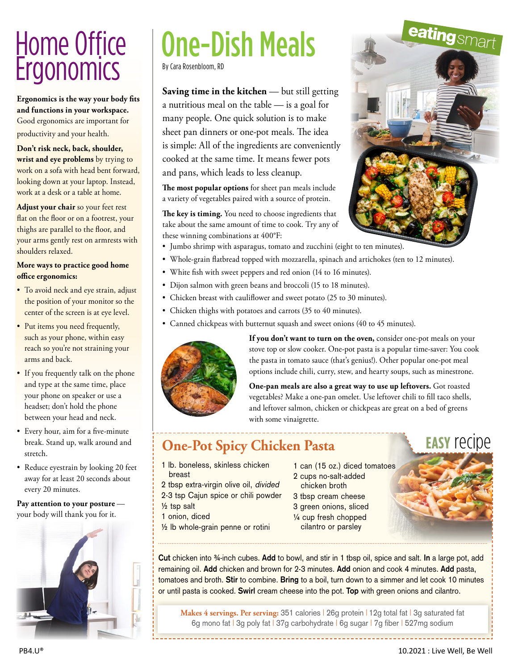## Home Office **Ergonomics**

**Ergonomics is the way your body fits and functions in your workspace.**  Good ergonomics are important for productivity and your health.

**Don't risk neck, back, shoulder, wrist and eye problems** by trying to work on a sofa with head bent forward, looking down at your laptop. Instead, work at a desk or a table at home.

**Adjust your chair** so your feet rest flat on the floor or on a footrest, your thighs are parallel to the floor, and your arms gently rest on armrests with shoulders relaxed.

### **More ways to practice good home office ergonomics:**

- To avoid neck and eye strain, adjust the position of your monitor so the center of the screen is at eye level.
- Put items you need frequently, such as your phone, within easy reach so you're not straining your arms and back.
- If you frequently talk on the phone and type at the same time, place your phone on speaker or use a headset; don't hold the phone between your head and neck.
- Every hour, aim for a five-minute break. Stand up, walk around and stretch.
- Reduce eyestrain by looking 20 feet away for at least 20 seconds about every 20 minutes.

**Pay attention to your posture**  your body will thank you for it.



## By Cara Rosenbloom, RD One-Dish Meals

**Saving time in the kitchen** — but still getting a nutritious meal on the table — is a goal for many people. One quick solution is to make sheet pan dinners or one-pot meals. The idea is simple: All of the ingredients are conveniently cooked at the same time. It means fewer pots and pans, which leads to less cleanup.

**The most popular options** for sheet pan meals include a variety of vegetables paired with a source of protein.

**The key is timing.** You need to choose ingredients that take about the same amount of time to cook. Try any of these winning combinations at 400°F:

- Jumbo shrimp with asparagus, tomato and zucchini (eight to ten minutes).
- Whole-grain flatbread topped with mozzarella, spinach and artichokes (ten to 12 minutes).
- White fish with sweet peppers and red onion (14 to 16 minutes).
- Dijon salmon with green beans and broccoli (15 to 18 minutes).
- Chicken breast with cauliflower and sweet potato (25 to 30 minutes).
- Chicken thighs with potatoes and carrots (35 to 40 minutes).
- Canned chickpeas with butternut squash and sweet onions (40 to 45 minutes).



If you don't want to turn on the oven, consider one-pot meals on your stove top or slow cooker. One-pot pasta is a popular time-saver: You cook the pasta in tomato sauce (that's genius!). Other popular one-pot meal options include chili, curry, stew, and hearty soups, such as minestrone.

 **One-pan meals are also a great way to use up leftovers.** Got roasted vegetables? Make a one-pan omelet. Use leftover chili to fill taco shells, and leftover salmon, chicken or chickpeas are great on a bed of greens with some vinaigrette.

### **One-Pot Spicy Chicken Pasta**

**easy** recipe

1 lb. boneless, skinless chicken breast

2 tbsp extra-virgin olive oil, divided 2-3 tsp Cajun spice or chili powder

- ½ tsp salt
- 1 onion, diced
- ½ lb whole-grain penne or rotini

1 can (15 oz.) diced tomatoes 2 cups no-salt-added

- chicken broth
- 3 tbsp cream cheese
- 3 green onions, sliced
- ¼ cup fresh chopped

cilantro or parsley

**Cut** chicken into ¾-inch cubes. **Add** to bowl, and stir in 1 tbsp oil, spice and salt. **In** a large pot, add remaining oil. **Add** chicken and brown for 2-3 minutes. **Add** onion and cook 4 minutes. **Add** pasta, tomatoes and broth. **Stir** to combine. **Bring** to a boil, turn down to a simmer and let cook 10 minutes or until pasta is cooked. **Swirl** cream cheese into the pot. **Top** with green onions and cilantro.

**Makes 4 servings. Per serving:** 351 calories | 26g protein | 12g total fat | 3g saturated fat 6g mono fat | 3g poly fat | 37g carbohydrate | 6g sugar | 7g fiber | 527mg sodium